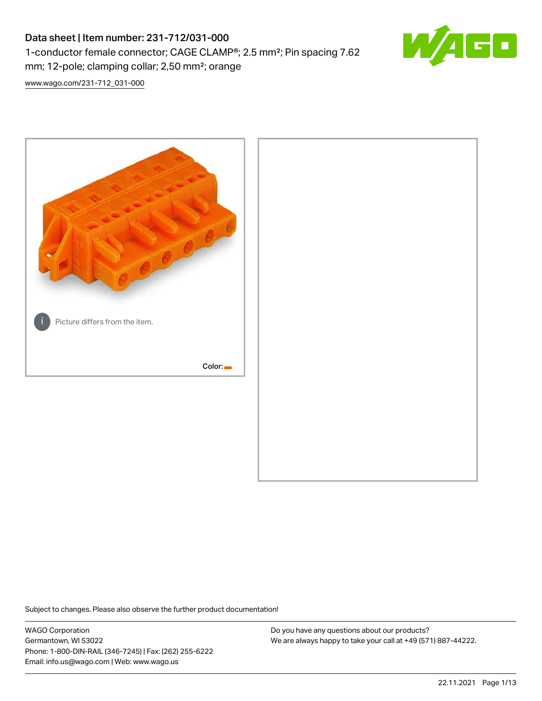# Data sheet | Item number: 231-712/031-000 1-conductor female connector; CAGE CLAMP®; 2.5 mm²; Pin spacing 7.62 mm; 12-pole; clamping collar; 2,50 mm²; orange



[www.wago.com/231-712\\_031-000](http://www.wago.com/231-712_031-000)



Subject to changes. Please also observe the further product documentation!

WAGO Corporation Germantown, WI 53022 Phone: 1-800-DIN-RAIL (346-7245) | Fax: (262) 255-6222 Email: info.us@wago.com | Web: www.wago.us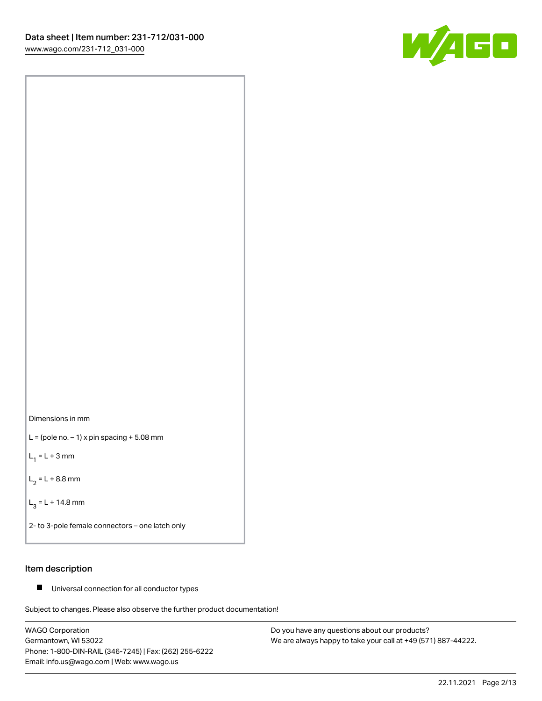



 $L =$  (pole no.  $-1$ ) x pin spacing  $+5.08$  mm

 $L_1 = L + 3$  mm

 $L_2 = L + 8.8$  mm

 $L_3 = L + 14.8$  mm

2- to 3-pole female connectors – one latch only

# Item description

■ Universal connection for all conductor types

Subject to changes. Please also observe the further product documentation!

WAGO Corporation Germantown, WI 53022 Phone: 1-800-DIN-RAIL (346-7245) | Fax: (262) 255-6222 Email: info.us@wago.com | Web: www.wago.us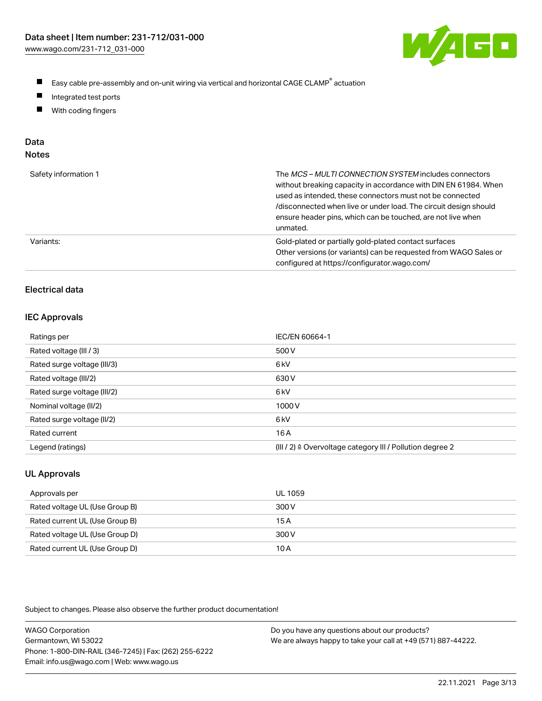

- $\blacksquare$ Easy cable pre-assembly and on-unit wiring via vertical and horizontal CAGE CLAMP<sup>®</sup> actuation
- $\blacksquare$ Integrated test ports
- $\blacksquare$ With coding fingers

# Data

| Safety information 1 | The MCS-MULTI CONNECTION SYSTEM includes connectors<br>without breaking capacity in accordance with DIN EN 61984. When<br>used as intended, these connectors must not be connected<br>/disconnected when live or under load. The circuit design should<br>ensure header pins, which can be touched, are not live when<br>unmated. |
|----------------------|-----------------------------------------------------------------------------------------------------------------------------------------------------------------------------------------------------------------------------------------------------------------------------------------------------------------------------------|
| Variants:            | Gold-plated or partially gold-plated contact surfaces<br>Other versions (or variants) can be requested from WAGO Sales or<br>configured at https://configurator.wago.com/                                                                                                                                                         |

# Electrical data

## IEC Approvals

| Ratings per                 | IEC/EN 60664-1                                                        |
|-----------------------------|-----------------------------------------------------------------------|
| Rated voltage (III / 3)     | 500 V                                                                 |
| Rated surge voltage (III/3) | 6 <sub>k</sub> V                                                      |
| Rated voltage (III/2)       | 630 V                                                                 |
| Rated surge voltage (III/2) | 6 <sub>k</sub> V                                                      |
| Nominal voltage (II/2)      | 1000V                                                                 |
| Rated surge voltage (II/2)  | 6 <sub>k</sub> V                                                      |
| Rated current               | 16 A                                                                  |
| Legend (ratings)            | $(III / 2)$ $\triangle$ Overvoltage category III / Pollution degree 2 |

# UL Approvals

| Approvals per                  | UL 1059 |
|--------------------------------|---------|
| Rated voltage UL (Use Group B) | 300 V   |
| Rated current UL (Use Group B) | 15 A    |
| Rated voltage UL (Use Group D) | 300 V   |
| Rated current UL (Use Group D) | 10 A    |

| <b>WAGO Corporation</b>                                | Do you have any questions about our products?                 |
|--------------------------------------------------------|---------------------------------------------------------------|
| Germantown, WI 53022                                   | We are always happy to take your call at +49 (571) 887-44222. |
| Phone: 1-800-DIN-RAIL (346-7245)   Fax: (262) 255-6222 |                                                               |
| Email: info.us@wago.com   Web: www.wago.us             |                                                               |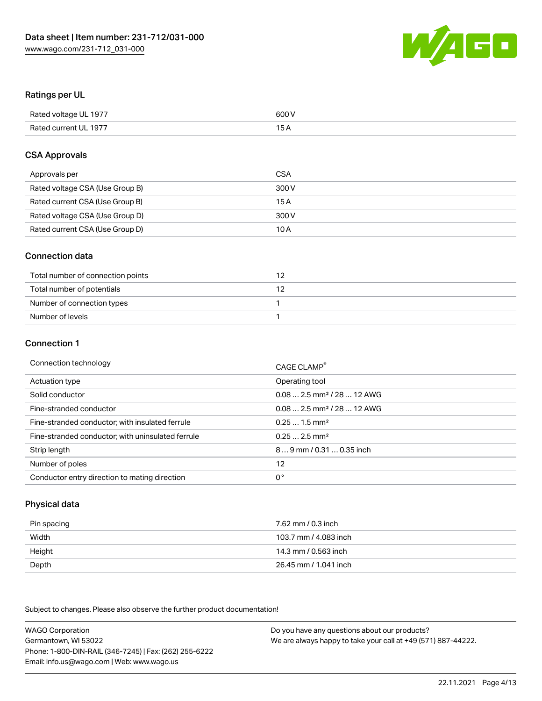

# Ratings per UL

| Rated voltage UL 1977 | 600 V |
|-----------------------|-------|
| Rated current UL 1977 | 1 E   |

# CSA Approvals

| Approvals per                   | CSA   |
|---------------------------------|-------|
| Rated voltage CSA (Use Group B) | 300 V |
| Rated current CSA (Use Group B) | 15 A  |
| Rated voltage CSA (Use Group D) | 300 V |
| Rated current CSA (Use Group D) | 10 A  |

# Connection data

| Total number of connection points |  |
|-----------------------------------|--|
| Total number of potentials        |  |
| Number of connection types        |  |
| Number of levels                  |  |

#### Connection 1

| Connection technology                             | CAGE CLAMP <sup>®</sup>                 |
|---------------------------------------------------|-----------------------------------------|
| Actuation type                                    | Operating tool                          |
| Solid conductor                                   | $0.082.5$ mm <sup>2</sup> / 28  12 AWG  |
| Fine-stranded conductor                           | $0.08$ 2.5 mm <sup>2</sup> / 28  12 AWG |
| Fine-stranded conductor; with insulated ferrule   | $0.251.5$ mm <sup>2</sup>               |
| Fine-stranded conductor; with uninsulated ferrule | $0.252.5$ mm <sup>2</sup>               |
| Strip length                                      | 89 mm / 0.31  0.35 inch                 |
| Number of poles                                   | 12                                      |
| Conductor entry direction to mating direction     | 0°                                      |

# Physical data

| Pin spacing | 7.62 mm / 0.3 inch    |
|-------------|-----------------------|
| Width       | 103.7 mm / 4.083 inch |
| Height      | 14.3 mm / 0.563 inch  |
| Depth       | 26.45 mm / 1.041 inch |

Subject to changes. Please also observe the further product documentation!

WAGO Corporation Germantown, WI 53022 Phone: 1-800-DIN-RAIL (346-7245) | Fax: (262) 255-6222 Email: info.us@wago.com | Web: www.wago.us Do you have any questions about our products? We are always happy to take your call at +49 (571) 887-44222.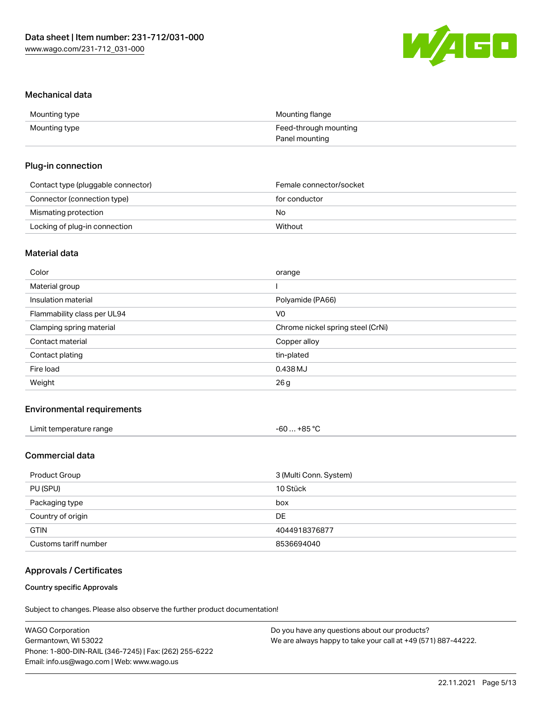

# Mechanical data

| Mounting type | Mounting flange       |
|---------------|-----------------------|
| Mounting type | Feed-through mounting |
|               | Panel mounting        |

# Plug-in connection

| Contact type (pluggable connector) | Female connector/socket |
|------------------------------------|-------------------------|
| Connector (connection type)        | for conductor           |
| Mismating protection               | No                      |
| Locking of plug-in connection      | Without                 |

# Material data

| Color                       | orange                            |
|-----------------------------|-----------------------------------|
| Material group              |                                   |
| Insulation material         | Polyamide (PA66)                  |
| Flammability class per UL94 | V <sub>0</sub>                    |
| Clamping spring material    | Chrome nickel spring steel (CrNi) |
| Contact material            | Copper alloy                      |
| Contact plating             | tin-plated                        |
| Fire load                   | 0.438 MJ                          |
| Weight                      | 26 g                              |
|                             |                                   |

# Environmental requirements

| Limit temperature range<br>. | …+85 °Ր<br>-60…⊸<br>_ _ _ _<br>$-$ |
|------------------------------|------------------------------------|
|------------------------------|------------------------------------|

# Commercial data

| Product Group         | 3 (Multi Conn. System) |
|-----------------------|------------------------|
| PU (SPU)              | 10 Stück               |
| Packaging type        | box                    |
| Country of origin     | DE                     |
| <b>GTIN</b>           | 4044918376877          |
| Customs tariff number | 8536694040             |

# Approvals / Certificates

# Country specific Approvals

| <b>WAGO Corporation</b>                                | Do you have any questions about our products?                 |
|--------------------------------------------------------|---------------------------------------------------------------|
| Germantown, WI 53022                                   | We are always happy to take your call at +49 (571) 887-44222. |
| Phone: 1-800-DIN-RAIL (346-7245)   Fax: (262) 255-6222 |                                                               |
| Email: info.us@wago.com   Web: www.wago.us             |                                                               |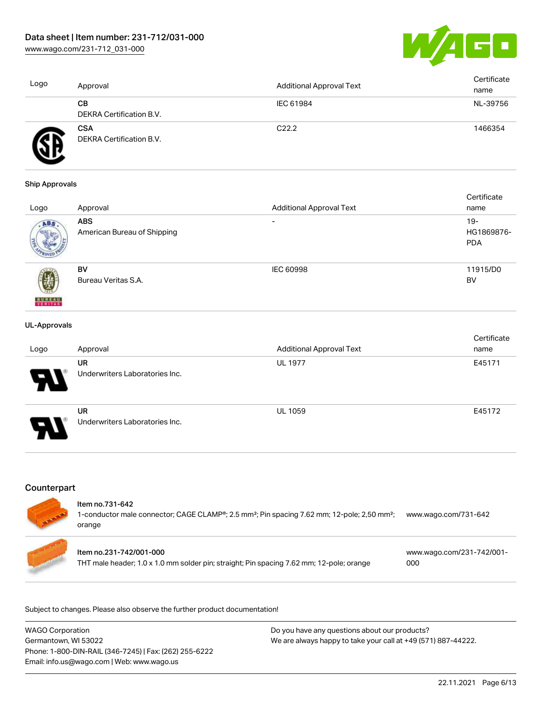[www.wago.com/231-712\\_031-000](http://www.wago.com/231-712_031-000)



| Logo | Approval                               | Additional Approval Text | Certificate<br>name |
|------|----------------------------------------|--------------------------|---------------------|
|      | CВ<br>DEKRA Certification B.V.         | IEC 61984                | NL-39756            |
|      | <b>CSA</b><br>DEKRA Certification B.V. | C <sub>22.2</sub>        | 1466354             |

#### Ship Approvals

|                          |                             |                                 | Certificate |
|--------------------------|-----------------------------|---------------------------------|-------------|
| Logo                     | Approval                    | <b>Additional Approval Text</b> | name        |
| ABS.                     | <b>ABS</b>                  | $\overline{\phantom{0}}$        | $19-$       |
|                          | American Bureau of Shipping |                                 | HG1869876-  |
|                          |                             |                                 | <b>PDA</b>  |
|                          |                             |                                 |             |
|                          | BV                          | <b>IEC 60998</b>                | 11915/D0    |
|                          | Bureau Veritas S.A.         |                                 | BV          |
|                          |                             |                                 |             |
| <b>BUREAU</b><br>VERITAS |                             |                                 |             |

#### UL-Approvals

| Logo                  | Approval                                    | <b>Additional Approval Text</b> | Certificate<br>name |
|-----------------------|---------------------------------------------|---------------------------------|---------------------|
| Ъ.                    | <b>UR</b><br>Underwriters Laboratories Inc. | <b>UL 1977</b>                  | E45171              |
| $\boldsymbol{\theta}$ | <b>UR</b><br>Underwriters Laboratories Inc. | <b>UL 1059</b>                  | E45172              |

# **Counterpart**

#### Item no.731-642

1-conductor male connector; CAGE CLAMP®; 2.5 mm²; Pin spacing 7.62 mm; 12-pole; 2,50 mm²; orange [www.wago.com/731-642](https://www.wago.com/731-642)



| <b>WAGO Corporation</b>                                | Do you have any questions about our products?                 |
|--------------------------------------------------------|---------------------------------------------------------------|
| Germantown, WI 53022                                   | We are always happy to take your call at +49 (571) 887-44222. |
| Phone: 1-800-DIN-RAIL (346-7245)   Fax: (262) 255-6222 |                                                               |
| Email: info.us@wago.com   Web: www.wago.us             |                                                               |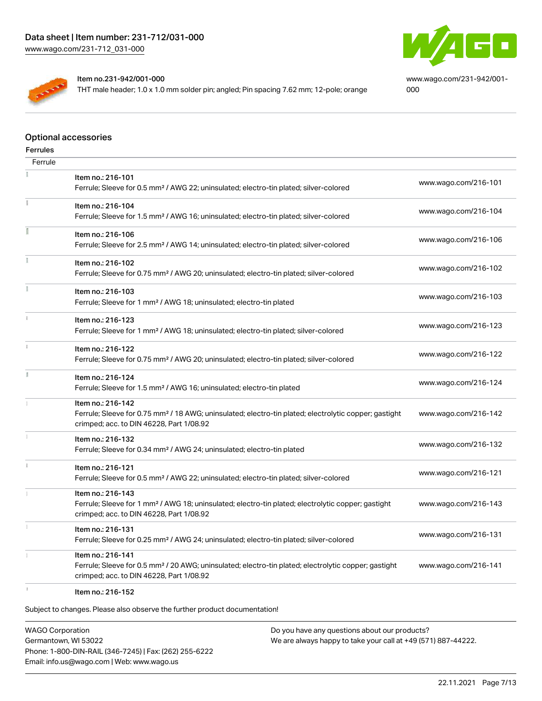



Item no.231-942/001-000

THT male header; 1.0 x 1.0 mm solder pin; angled; Pin spacing 7.62 mm; 12-pole; orange

[www.wago.com/231-942/001-](https://www.wago.com/231-942/001-000) [000](https://www.wago.com/231-942/001-000)

## Optional accessories

| <b>Ferrules</b> |                                                                                                                        |                      |
|-----------------|------------------------------------------------------------------------------------------------------------------------|----------------------|
| Ferrule         |                                                                                                                        |                      |
|                 | Item no.: 216-101                                                                                                      |                      |
|                 | Ferrule; Sleeve for 0.5 mm <sup>2</sup> / AWG 22; uninsulated; electro-tin plated; silver-colored                      | www.wago.com/216-101 |
| Ĭ.              | Item no.: 216-104                                                                                                      | www.wago.com/216-104 |
|                 | Ferrule; Sleeve for 1.5 mm <sup>2</sup> / AWG 16; uninsulated; electro-tin plated; silver-colored                      |                      |
| ī               | Item no.: 216-106                                                                                                      | www.wago.com/216-106 |
|                 | Ferrule; Sleeve for 2.5 mm <sup>2</sup> / AWG 14; uninsulated; electro-tin plated; silver-colored                      |                      |
| Ĭ               | Item no.: 216-102                                                                                                      |                      |
|                 | Ferrule; Sleeve for 0.75 mm <sup>2</sup> / AWG 20; uninsulated; electro-tin plated; silver-colored                     | www.wago.com/216-102 |
| Ĭ.              | Item no.: 216-103                                                                                                      |                      |
|                 | Ferrule; Sleeve for 1 mm <sup>2</sup> / AWG 18; uninsulated; electro-tin plated                                        | www.wago.com/216-103 |
| Î.              | Item no.: 216-123                                                                                                      |                      |
|                 | Ferrule; Sleeve for 1 mm <sup>2</sup> / AWG 18; uninsulated; electro-tin plated; silver-colored                        | www.wago.com/216-123 |
| $\mathbf i$     | Item no.: 216-122                                                                                                      |                      |
|                 | Ferrule; Sleeve for 0.75 mm <sup>2</sup> / AWG 20; uninsulated; electro-tin plated; silver-colored                     | www.wago.com/216-122 |
| Ĭ.              | Item no.: 216-124                                                                                                      |                      |
|                 | Ferrule; Sleeve for 1.5 mm <sup>2</sup> / AWG 16; uninsulated; electro-tin plated                                      | www.wago.com/216-124 |
|                 | Item no.: 216-142                                                                                                      |                      |
|                 | Ferrule; Sleeve for 0.75 mm <sup>2</sup> / 18 AWG; uninsulated; electro-tin plated; electrolytic copper; gastight      | www.wago.com/216-142 |
| 1               | crimped; acc. to DIN 46228, Part 1/08.92                                                                               |                      |
|                 | Item no.: 216-132<br>Ferrule; Sleeve for 0.34 mm <sup>2</sup> / AWG 24; uninsulated; electro-tin plated                | www.wago.com/216-132 |
| $\mathbbm{1}$   |                                                                                                                        |                      |
|                 | Item no.: 216-121<br>Ferrule; Sleeve for 0.5 mm <sup>2</sup> / AWG 22; uninsulated; electro-tin plated; silver-colored | www.wago.com/216-121 |
|                 | Item no.: 216-143                                                                                                      |                      |
|                 | Ferrule; Sleeve for 1 mm <sup>2</sup> / AWG 18; uninsulated; electro-tin plated; electrolytic copper; gastight         | www.wago.com/216-143 |
|                 | crimped; acc. to DIN 46228, Part 1/08.92                                                                               |                      |
| Ť.              | Item no.: 216-131                                                                                                      |                      |
|                 | Ferrule; Sleeve for 0.25 mm <sup>2</sup> / AWG 24; uninsulated; electro-tin plated; silver-colored                     | www.wago.com/216-131 |
|                 | Item no.: 216-141                                                                                                      |                      |
|                 | Ferrule; Sleeve for 0.5 mm <sup>2</sup> / 20 AWG; uninsulated; electro-tin plated; electrolytic copper; gastight       | www.wago.com/216-141 |
|                 | crimped; acc. to DIN 46228, Part 1/08.92                                                                               |                      |
| s.              | Item no.: 216-152                                                                                                      |                      |

Subject to changes. Please also observe the further product documentation!

WAGO Corporation Germantown, WI 53022 Phone: 1-800-DIN-RAIL (346-7245) | Fax: (262) 255-6222 Email: info.us@wago.com | Web: www.wago.us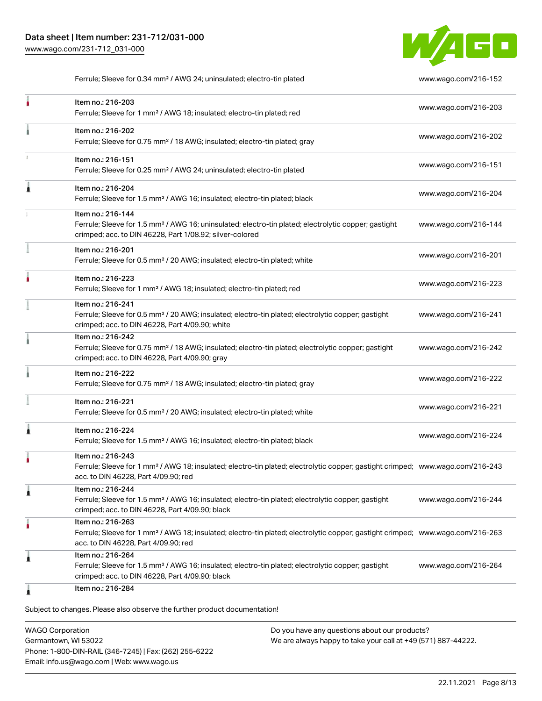

Ferrule; Sleeve for 0.34 mm² / AWG 24; uninsulated; electro-tin plated [www.wago.com/216-152](http://www.wago.com/216-152)

| Item no.: 216-203<br>Ferrule; Sleeve for 1 mm <sup>2</sup> / AWG 18; insulated; electro-tin plated; red                                                                                                 | www.wago.com/216-203 |
|---------------------------------------------------------------------------------------------------------------------------------------------------------------------------------------------------------|----------------------|
| Item no.: 216-202<br>Ferrule; Sleeve for 0.75 mm <sup>2</sup> / 18 AWG; insulated; electro-tin plated; gray                                                                                             | www.wago.com/216-202 |
| Item no.: 216-151<br>Ferrule; Sleeve for 0.25 mm <sup>2</sup> / AWG 24; uninsulated; electro-tin plated                                                                                                 | www.wago.com/216-151 |
| Item no.: 216-204<br>Ferrule; Sleeve for 1.5 mm <sup>2</sup> / AWG 16; insulated; electro-tin plated; black                                                                                             | www.wago.com/216-204 |
| Item no.: 216-144<br>Ferrule; Sleeve for 1.5 mm <sup>2</sup> / AWG 16; uninsulated; electro-tin plated; electrolytic copper; gastight<br>crimped; acc. to DIN 46228, Part 1/08.92; silver-colored       | www.wago.com/216-144 |
| Item no.: 216-201<br>Ferrule; Sleeve for 0.5 mm <sup>2</sup> / 20 AWG; insulated; electro-tin plated; white                                                                                             | www.wago.com/216-201 |
| Item no.: 216-223<br>Ferrule; Sleeve for 1 mm <sup>2</sup> / AWG 18; insulated; electro-tin plated; red                                                                                                 | www.wago.com/216-223 |
| Item no.: 216-241<br>Ferrule; Sleeve for 0.5 mm <sup>2</sup> / 20 AWG; insulated; electro-tin plated; electrolytic copper; gastight<br>crimped; acc. to DIN 46228, Part 4/09.90; white                  | www.wago.com/216-241 |
| Item no.: 216-242<br>Ferrule; Sleeve for 0.75 mm <sup>2</sup> / 18 AWG; insulated; electro-tin plated; electrolytic copper; gastight<br>crimped; acc. to DIN 46228, Part 4/09.90; gray                  | www.wago.com/216-242 |
| Item no.: 216-222<br>Ferrule; Sleeve for 0.75 mm <sup>2</sup> / 18 AWG; insulated; electro-tin plated; gray                                                                                             | www.wago.com/216-222 |
| Item no.: 216-221<br>Ferrule; Sleeve for 0.5 mm <sup>2</sup> / 20 AWG; insulated; electro-tin plated; white                                                                                             | www.wago.com/216-221 |
| Item no.: 216-224<br>Ferrule; Sleeve for 1.5 mm <sup>2</sup> / AWG 16; insulated; electro-tin plated; black                                                                                             | www.wago.com/216-224 |
| Item no.: 216-243<br>Ferrule; Sleeve for 1 mm <sup>2</sup> / AWG 18; insulated; electro-tin plated; electrolytic copper; gastight crimped; www.wago.com/216-243<br>acc. to DIN 46228, Part 4/09.90; red |                      |
| ltem no.: 216-244<br>Ferrule; Sleeve for 1.5 mm <sup>2</sup> / AWG 16; insulated; electro-tin plated; electrolytic copper; gastight<br>crimped; acc. to DIN 46228, Part 4/09.90; black                  | www.wago.com/216-244 |
| Item no.: 216-263<br>Ferrule; Sleeve for 1 mm <sup>2</sup> / AWG 18; insulated; electro-tin plated; electrolytic copper; gastight crimped; www.wago.com/216-263<br>acc. to DIN 46228, Part 4/09.90; red |                      |
| Item no.: 216-264<br>Ferrule; Sleeve for 1.5 mm <sup>2</sup> / AWG 16; insulated; electro-tin plated; electrolytic copper; gastight<br>crimped; acc. to DIN 46228, Part 4/09.90; black                  | www.wago.com/216-264 |
| Item no.: 216-284                                                                                                                                                                                       |                      |

WAGO Corporation Germantown, WI 53022 Phone: 1-800-DIN-RAIL (346-7245) | Fax: (262) 255-6222 Email: info.us@wago.com | Web: www.wago.us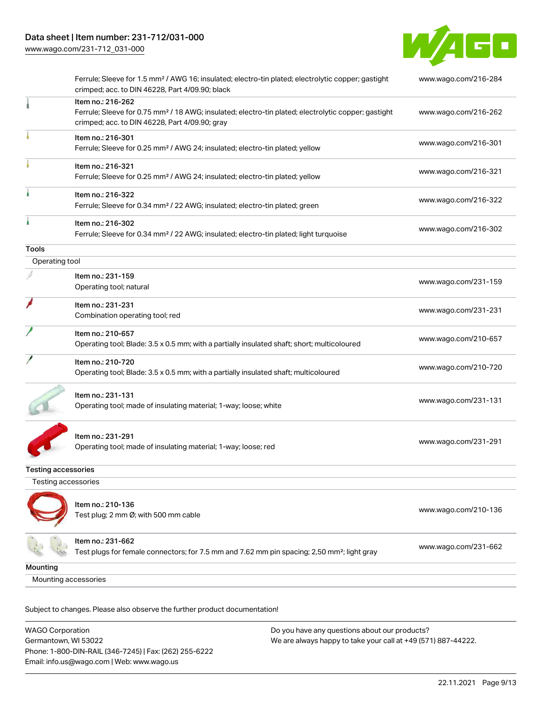

|                      | Ferrule; Sleeve for 1.5 mm <sup>2</sup> / AWG 16; insulated; electro-tin plated; electrolytic copper; gastight<br>crimped; acc. to DIN 46228, Part 4/09.90; black                      | www.wago.com/216-284 |
|----------------------|----------------------------------------------------------------------------------------------------------------------------------------------------------------------------------------|----------------------|
|                      | Item no.: 216-262<br>Ferrule; Sleeve for 0.75 mm <sup>2</sup> / 18 AWG; insulated; electro-tin plated; electrolytic copper; gastight<br>crimped; acc. to DIN 46228, Part 4/09.90; gray | www.wago.com/216-262 |
|                      | Item no.: 216-301<br>Ferrule; Sleeve for 0.25 mm <sup>2</sup> / AWG 24; insulated; electro-tin plated; yellow                                                                          | www.wago.com/216-301 |
|                      | Item no.: 216-321<br>Ferrule; Sleeve for 0.25 mm <sup>2</sup> / AWG 24; insulated; electro-tin plated; yellow                                                                          | www.wago.com/216-321 |
|                      | Item no.: 216-322<br>Ferrule; Sleeve for 0.34 mm <sup>2</sup> / 22 AWG; insulated; electro-tin plated; green                                                                           | www.wago.com/216-322 |
|                      | Item no.: 216-302<br>Ferrule; Sleeve for 0.34 mm <sup>2</sup> / 22 AWG; insulated; electro-tin plated; light turquoise                                                                 | www.wago.com/216-302 |
| Tools                |                                                                                                                                                                                        |                      |
| Operating tool       |                                                                                                                                                                                        |                      |
|                      | Item no.: 231-159<br>Operating tool; natural                                                                                                                                           | www.wago.com/231-159 |
|                      | Item no.: 231-231<br>Combination operating tool; red                                                                                                                                   | www.wago.com/231-231 |
|                      | Item no.: 210-657<br>Operating tool; Blade: 3.5 x 0.5 mm; with a partially insulated shaft; short; multicoloured                                                                       | www.wago.com/210-657 |
|                      | Item no.: 210-720<br>Operating tool; Blade: 3.5 x 0.5 mm; with a partially insulated shaft; multicoloured                                                                              | www.wago.com/210-720 |
|                      | Item no.: 231-131<br>Operating tool; made of insulating material; 1-way; loose; white                                                                                                  | www.wago.com/231-131 |
|                      | Item no.: 231-291<br>Operating tool; made of insulating material; 1-way; loose; red                                                                                                    | www.wago.com/231-291 |
| Testing accessories  |                                                                                                                                                                                        |                      |
| Testing accessories  |                                                                                                                                                                                        |                      |
|                      | Item no.: 210-136<br>Test plug; 2 mm Ø; with 500 mm cable                                                                                                                              | www.wago.com/210-136 |
|                      | Item no.: 231-662<br>Test plugs for female connectors; for 7.5 mm and 7.62 mm pin spacing; 2,50 mm <sup>2</sup> ; light gray                                                           | www.wago.com/231-662 |
| Mounting             |                                                                                                                                                                                        |                      |
| Mounting accessories |                                                                                                                                                                                        |                      |
|                      |                                                                                                                                                                                        |                      |

| WAGO Corporation                                       | Do you have any questions about our products?                 |
|--------------------------------------------------------|---------------------------------------------------------------|
| Germantown, WI 53022                                   | We are always happy to take your call at +49 (571) 887-44222. |
| Phone: 1-800-DIN-RAIL (346-7245)   Fax: (262) 255-6222 |                                                               |
| Email: info.us@wago.com   Web: www.wago.us             |                                                               |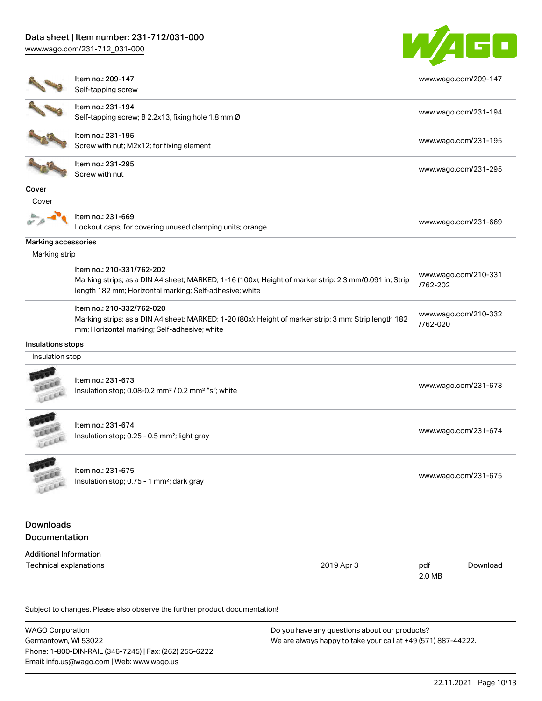[www.wago.com/231-712\\_031-000](http://www.wago.com/231-712_031-000)



|                                                                    | Item no.: 209-147                                                                                      |          | www.wago.com/209-147 |
|--------------------------------------------------------------------|--------------------------------------------------------------------------------------------------------|----------|----------------------|
|                                                                    | Self-tapping screw                                                                                     |          |                      |
|                                                                    | Item no.: 231-194                                                                                      |          | www.wago.com/231-194 |
|                                                                    | Self-tapping screw; B 2.2x13, fixing hole 1.8 mm Ø                                                     |          |                      |
|                                                                    | Item no.: 231-195                                                                                      |          |                      |
|                                                                    | Screw with nut; M2x12; for fixing element                                                              |          | www.wago.com/231-195 |
|                                                                    | Item no.: 231-295                                                                                      |          |                      |
|                                                                    | Screw with nut                                                                                         |          | www.wago.com/231-295 |
| Cover                                                              |                                                                                                        |          |                      |
| Cover                                                              |                                                                                                        |          |                      |
|                                                                    | Item no.: 231-669                                                                                      |          |                      |
|                                                                    | Lockout caps; for covering unused clamping units; orange                                               |          | www.wago.com/231-669 |
| Marking accessories                                                |                                                                                                        |          |                      |
| Marking strip                                                      |                                                                                                        |          |                      |
|                                                                    | Item no.: 210-331/762-202                                                                              |          |                      |
|                                                                    | Marking strips; as a DIN A4 sheet; MARKED; 1-16 (100x); Height of marker strip: 2.3 mm/0.091 in; Strip | /762-202 | www.wago.com/210-331 |
|                                                                    | length 182 mm; Horizontal marking; Self-adhesive; white                                                |          |                      |
|                                                                    | Item no.: 210-332/762-020                                                                              |          |                      |
|                                                                    | Marking strips; as a DIN A4 sheet; MARKED; 1-20 (80x); Height of marker strip: 3 mm; Strip length 182  |          | www.wago.com/210-332 |
|                                                                    | mm; Horizontal marking; Self-adhesive; white                                                           | /762-020 |                      |
| Insulations stops                                                  |                                                                                                        |          |                      |
| Insulation stop                                                    |                                                                                                        |          |                      |
|                                                                    |                                                                                                        |          |                      |
|                                                                    | Item no.: 231-673                                                                                      |          | www.wago.com/231-673 |
| Lecce                                                              | Insulation stop; 0.08-0.2 mm <sup>2</sup> / 0.2 mm <sup>2</sup> "s"; white                             |          |                      |
|                                                                    |                                                                                                        |          |                      |
|                                                                    | Item no.: 231-674                                                                                      |          | www.wago.com/231-674 |
| LEEL                                                               | Insulation stop; 0.25 - 0.5 mm <sup>2</sup> ; light gray                                               |          |                      |
|                                                                    |                                                                                                        |          |                      |
|                                                                    |                                                                                                        |          |                      |
|                                                                    | Item no.: 231-675                                                                                      |          |                      |
| <b>AAAR</b><br>cice                                                | Insulation stop; 0.75 - 1 mm <sup>2</sup> ; dark gray                                                  |          | www.wago.com/231-675 |
|                                                                    |                                                                                                        |          |                      |
|                                                                    |                                                                                                        |          |                      |
|                                                                    |                                                                                                        |          |                      |
| <b>Downloads</b><br>Documentation<br><b>Additional Information</b> |                                                                                                        |          |                      |

| <b>WAGO Corporation</b>                                | Do you have any questions about our products?                 |
|--------------------------------------------------------|---------------------------------------------------------------|
| Germantown, WI 53022                                   | We are always happy to take your call at +49 (571) 887-44222. |
| Phone: 1-800-DIN-RAIL (346-7245)   Fax: (262) 255-6222 |                                                               |
| Email: info.us@wago.com   Web: www.wago.us             |                                                               |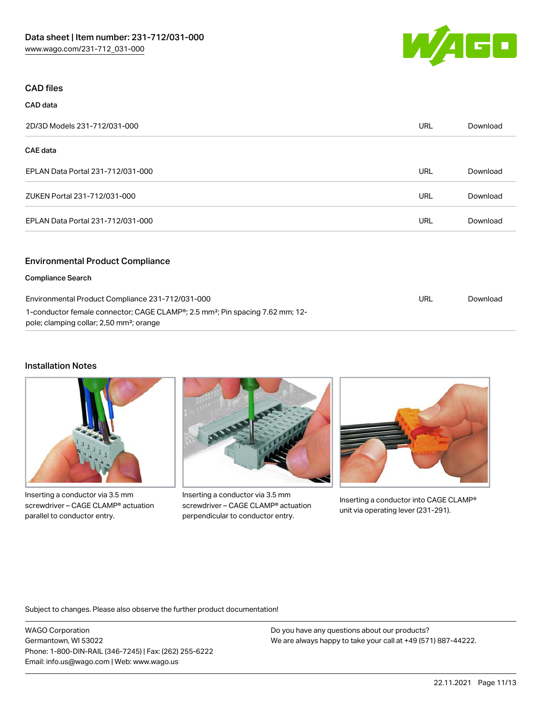

# CAD files

| CAD data                          |            |          |
|-----------------------------------|------------|----------|
| 2D/3D Models 231-712/031-000      | <b>URL</b> | Download |
| <b>CAE</b> data                   |            |          |
| EPLAN Data Portal 231-712/031-000 | <b>URL</b> | Download |
| ZUKEN Portal 231-712/031-000      | <b>URL</b> | Download |
| EPLAN Data Portal 231-712/031-000 | <b>URL</b> | Download |
|                                   |            |          |

## Environmental Product Compliance

| <b>Compliance Search</b>                                                                                                                                       |     |          |
|----------------------------------------------------------------------------------------------------------------------------------------------------------------|-----|----------|
| Environmental Product Compliance 231-712/031-000                                                                                                               | URL | Download |
| 1-conductor female connector; CAGE CLAMP <sup>®</sup> ; 2.5 mm <sup>2</sup> ; Pin spacing 7.62 mm; 12-<br>pole; clamping collar; 2,50 mm <sup>2</sup> ; orange |     |          |
|                                                                                                                                                                |     |          |

# Installation Notes



Inserting a conductor via 3.5 mm screwdriver – CAGE CLAMP® actuation parallel to conductor entry.



Inserting a conductor via 3.5 mm screwdriver – CAGE CLAMP® actuation perpendicular to conductor entry.



Inserting a conductor into CAGE CLAMP® unit via operating lever (231-291).

Subject to changes. Please also observe the further product documentation!

WAGO Corporation Germantown, WI 53022 Phone: 1-800-DIN-RAIL (346-7245) | Fax: (262) 255-6222 Email: info.us@wago.com | Web: www.wago.us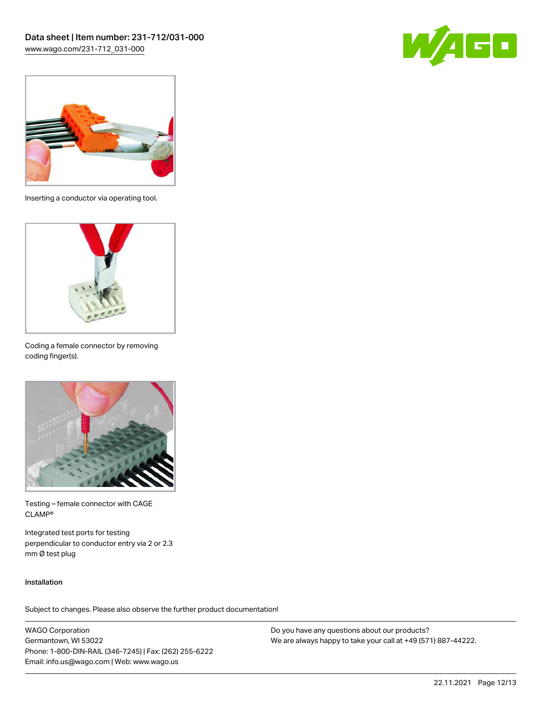



Inserting a conductor via operating tool.



Coding a female connector by removing coding finger(s).



Testing – female connector with CAGE CLAMP®

Integrated test ports for testing perpendicular to conductor entry via 2 or 2.3 mm Ø test plug

#### Installation

Subject to changes. Please also observe the further product documentation!

WAGO Corporation Germantown, WI 53022 Phone: 1-800-DIN-RAIL (346-7245) | Fax: (262) 255-6222 Email: info.us@wago.com | Web: www.wago.us